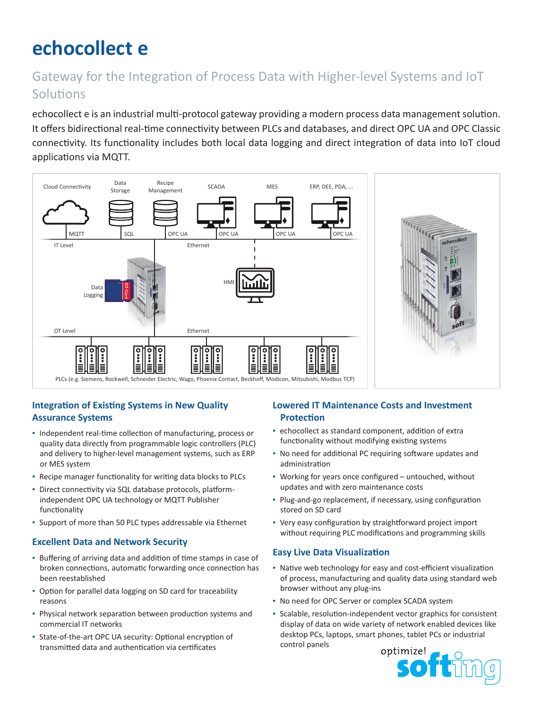# **echocollect e**

# Gateway for the Integration of Process Data with Higher-level Systems and IoT Solutions

echocollect e is an industrial multi-protocol gateway providing a modern process data management solution. It offers bidirectional real-time connectivity between PLCs and databases, and direct OPC UA and OPC Classic connectivity. Its functionality includes both local data logging and direct integration of data into IoT cloud applications via MQTT.



## **Integration of Existing Systems in New Quality Assurance Systems**

- Independent real-time collection of manufacturing, process or quality data directly from programmable logic controllers (PLC) and delivery to higher-level management systems, such as ERP or MES system
- Recipe manager functionality for writing data blocks to PLCs
- Direct connectivity via SQL database protocols, platformindependent OPC UA technology or MQTT Publisher functionality
- Support of more than 50 PLC types addressable via Ethernet

#### **Excellent Data and Network Security**

- Buffering of arriving data and addition of time stamps in case of broken connections, automatic forwarding once connection has been reestablished
- Option for parallel data logging on SD card for traceability reasons
- **· Physical network separation between production systems and** commercial IT networks
- State-of-the-art OPC UA security: Optional encryption of transmitted data and authentication via certificates

### **Lowered IT Maintenance Costs and Investment Protection**

- echocollect as standard component, addition of extra functionality without modifying existing systems
- No need for additional PC requiring software updates and administration
- Working for years once configured untouched, without updates and with zero maintenance costs
- Plug-and-go replacement, if necessary, using configuration stored on SD card
- Very easy configuration by straightforward project import without requiring PLC modifications and programming skills

#### **Easy Live Data Visualization**

- Native web technology for easy and cost-efficient visualization of process, manufacturing and quality data using standard web browser without any plug-ins
- No need for OPC Server or complex SCADA system
- Scalable, resolution-independent vector graphics for consistent display of data on wide variety of network enabled devices like desktop PCs, laptops, smart phones, tablet PCs or industrial control panels